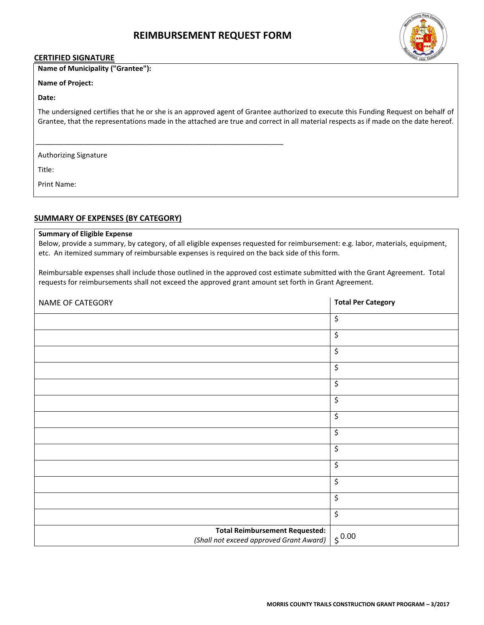

#### **CERTIFIED SIGNATURE**

## **Name of Municipality ("Grantee"):**

## **Name of Project:**

## **Date:**

The undersigned certifies that he or she is an approved agent of Grantee authorized to execute this Funding Request on behalf of Grantee, that the representations made in the attached are true and correct in all material respects as if made on the date hereof.

Authorizing Signature

Title:

Print Name:

## **SUMMARY OF EXPENSES (BY CATEGORY)**

 $\mathcal{S}^{\text{max}}_{\text{max}}$  , and the signature of the signature of the signature of the signature of the signature of the signature of the signature of the signature of the signature of the signature of the signature of the sig

## **Summary of Eligible Expense**

Below, provide a summary, by category, of all eligible expenses requested for reimbursement: e.g. labor, materials, equipment, etc. An itemized summary of reimbursable expenses is required on the back side of this form.

Reimbursable expenses shall include those outlined in the approved cost estimate submitted with the Grant Agreement. Total requests for reimbursements shall not exceed the approved grant amount set forth in Grant Agreement.

| NAME OF CATEGORY                                                                 | <b>Total Per Category</b> |
|----------------------------------------------------------------------------------|---------------------------|
|                                                                                  | \$                        |
|                                                                                  | $\overline{\mathcal{S}}$  |
|                                                                                  | \$                        |
|                                                                                  | \$                        |
|                                                                                  | \$                        |
|                                                                                  | \$                        |
|                                                                                  | \$                        |
|                                                                                  | $\overline{\mathcal{S}}$  |
|                                                                                  | \$                        |
|                                                                                  | \$                        |
|                                                                                  | \$                        |
|                                                                                  | \$                        |
|                                                                                  | \$                        |
| <b>Total Reimbursement Requested:</b><br>(Shall not exceed approved Grant Award) | $\frac{1}{5}$ 0.00        |